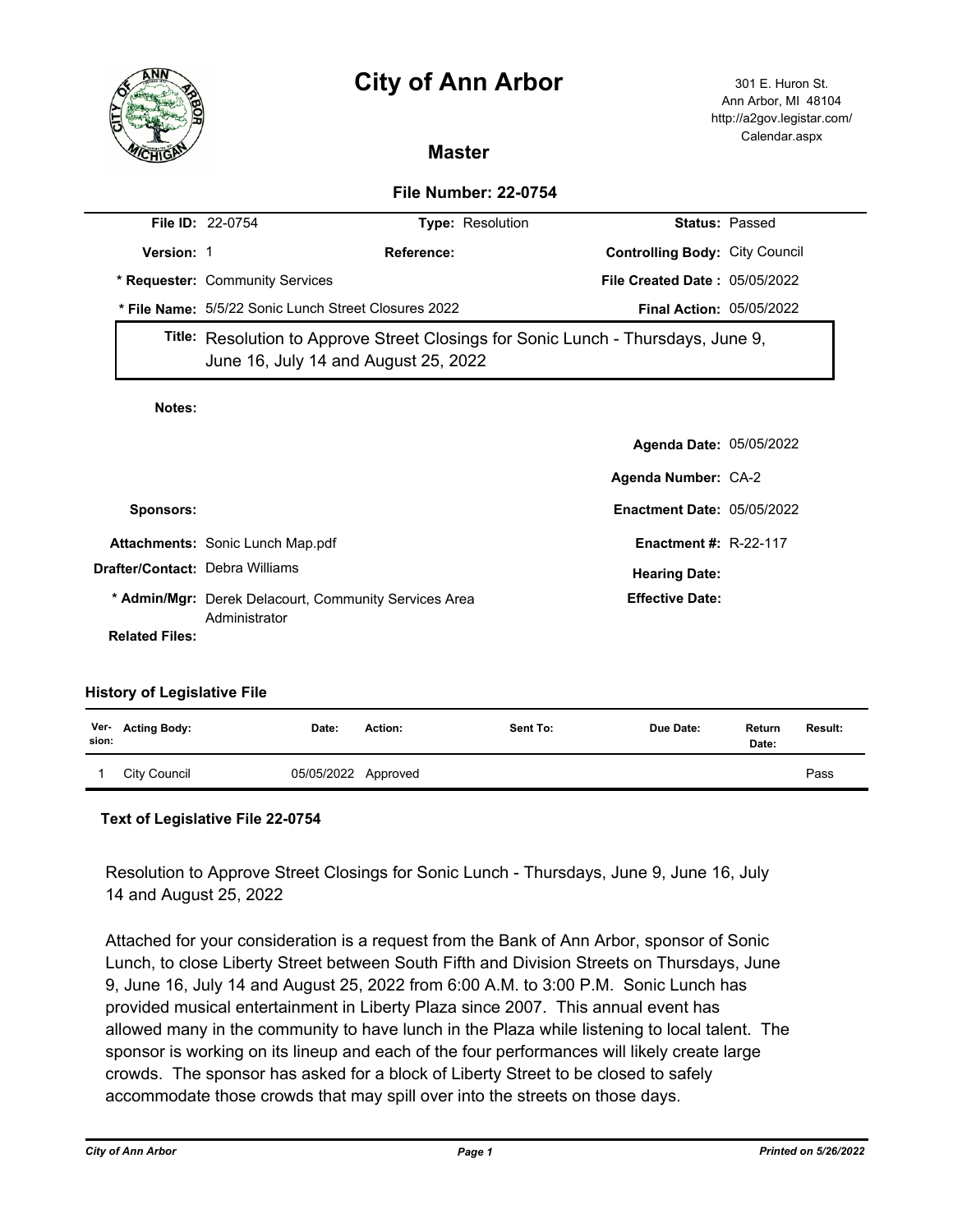# **City of Ann Arbor** 301 E. Huron St.



Ann Arbor, MI 48104 http://a2gov.legistar.com/ Calendar.aspx

## **Master**

### **File Number: 22-0754**

|                       | <b>File ID: 22-0754</b>                                                                                                   | Type: Resolution |                                       | <b>Status: Passed</b> |
|-----------------------|---------------------------------------------------------------------------------------------------------------------------|------------------|---------------------------------------|-----------------------|
| <b>Version: 1</b>     |                                                                                                                           | Reference:       | <b>Controlling Body: City Council</b> |                       |
|                       | * Requester: Community Services                                                                                           |                  | <b>File Created Date: 05/05/2022</b>  |                       |
|                       | * File Name: 5/5/22 Sonic Lunch Street Closures 2022                                                                      |                  | <b>Final Action: 05/05/2022</b>       |                       |
|                       | Title: Resolution to Approve Street Closings for Sonic Lunch - Thursdays, June 9,<br>June 16, July 14 and August 25, 2022 |                  |                                       |                       |
| Notes:                |                                                                                                                           |                  |                                       |                       |
|                       |                                                                                                                           |                  | <b>Agenda Date: 05/05/2022</b>        |                       |
|                       |                                                                                                                           |                  | Agenda Number: CA-2                   |                       |
| Sponsors:             |                                                                                                                           |                  | <b>Enactment Date: 05/05/2022</b>     |                       |
|                       | <b>Attachments: Sonic Lunch Map.pdf</b>                                                                                   |                  | <b>Enactment #: R-22-117</b>          |                       |
|                       | <b>Drafter/Contact: Debra Williams</b>                                                                                    |                  | <b>Hearing Date:</b>                  |                       |
|                       | * Admin/Mgr: Derek Delacourt, Community Services Area<br>Administrator                                                    |                  | <b>Effective Date:</b>                |                       |
| <b>Related Files:</b> |                                                                                                                           |                  |                                       |                       |

#### **History of Legislative File**

| sion: | Ver- Acting Body: | Date:               | Action: | Sent To: | Due Date: | Return<br>Date: | Result: |
|-------|-------------------|---------------------|---------|----------|-----------|-----------------|---------|
|       | City Council      | 05/05/2022 Approved |         |          |           |                 | Pass    |

#### **Text of Legislative File 22-0754**

Resolution to Approve Street Closings for Sonic Lunch - Thursdays, June 9, June 16, July 14 and August 25, 2022

Attached for your consideration is a request from the Bank of Ann Arbor, sponsor of Sonic Lunch, to close Liberty Street between South Fifth and Division Streets on Thursdays, June 9, June 16, July 14 and August 25, 2022 from 6:00 A.M. to 3:00 P.M. Sonic Lunch has provided musical entertainment in Liberty Plaza since 2007. This annual event has allowed many in the community to have lunch in the Plaza while listening to local talent. The sponsor is working on its lineup and each of the four performances will likely create large crowds. The sponsor has asked for a block of Liberty Street to be closed to safely accommodate those crowds that may spill over into the streets on those days.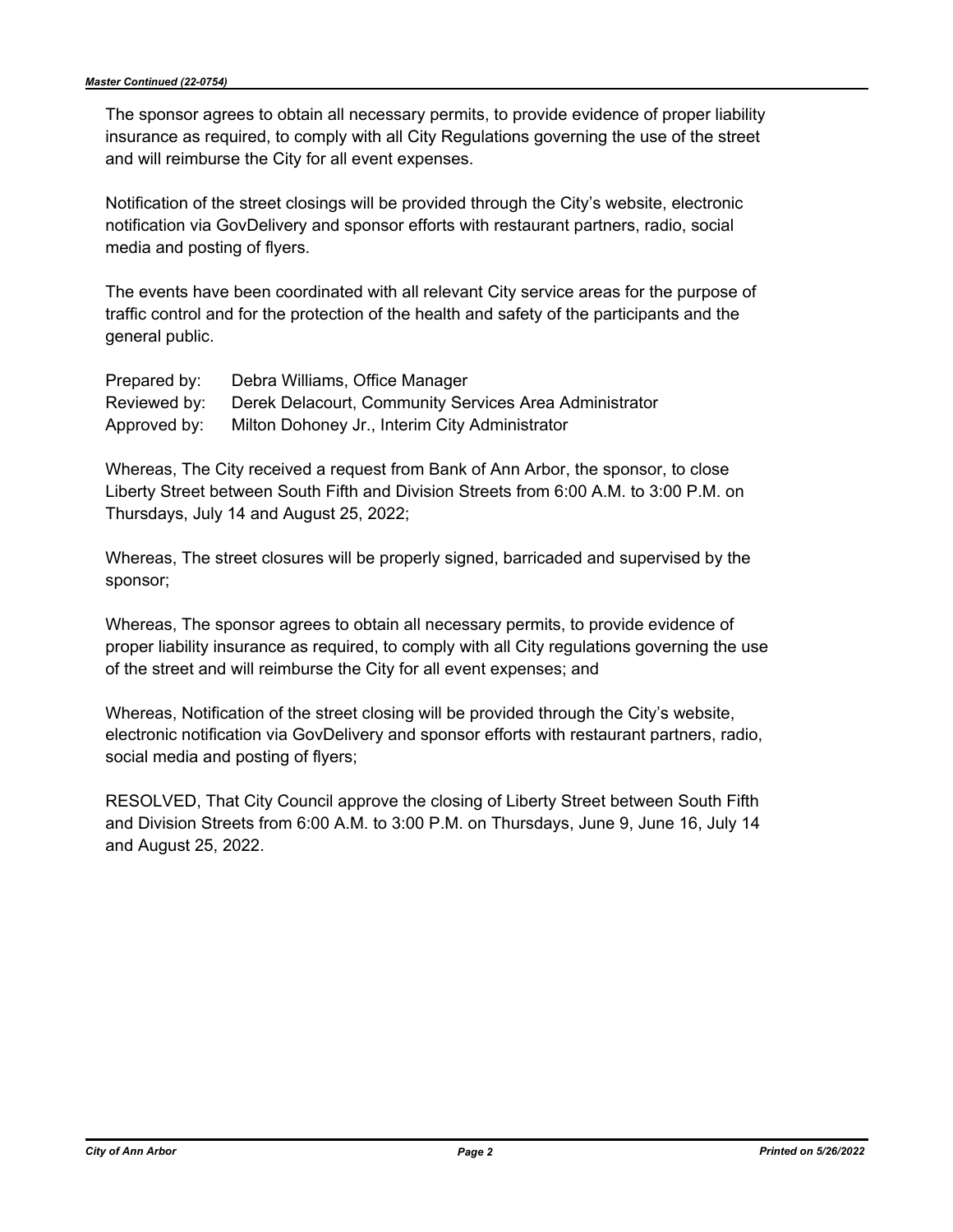The sponsor agrees to obtain all necessary permits, to provide evidence of proper liability insurance as required, to comply with all City Regulations governing the use of the street and will reimburse the City for all event expenses.

Notification of the street closings will be provided through the City's website, electronic notification via GovDelivery and sponsor efforts with restaurant partners, radio, social media and posting of flyers.

The events have been coordinated with all relevant City service areas for the purpose of traffic control and for the protection of the health and safety of the participants and the general public.

| Prepared by: | Debra Williams, Office Manager                              |
|--------------|-------------------------------------------------------------|
| Reviewed by: | Derek Delacourt, Community Services Area Administrator      |
|              | Approved by: Milton Dohoney Jr., Interim City Administrator |

Whereas, The City received a request from Bank of Ann Arbor, the sponsor, to close Liberty Street between South Fifth and Division Streets from 6:00 A.M. to 3:00 P.M. on Thursdays, July 14 and August 25, 2022;

Whereas, The street closures will be properly signed, barricaded and supervised by the sponsor;

Whereas, The sponsor agrees to obtain all necessary permits, to provide evidence of proper liability insurance as required, to comply with all City regulations governing the use of the street and will reimburse the City for all event expenses; and

Whereas, Notification of the street closing will be provided through the City's website, electronic notification via GovDelivery and sponsor efforts with restaurant partners, radio, social media and posting of flyers;

RESOLVED, That City Council approve the closing of Liberty Street between South Fifth and Division Streets from 6:00 A.M. to 3:00 P.M. on Thursdays, June 9, June 16, July 14 and August 25, 2022.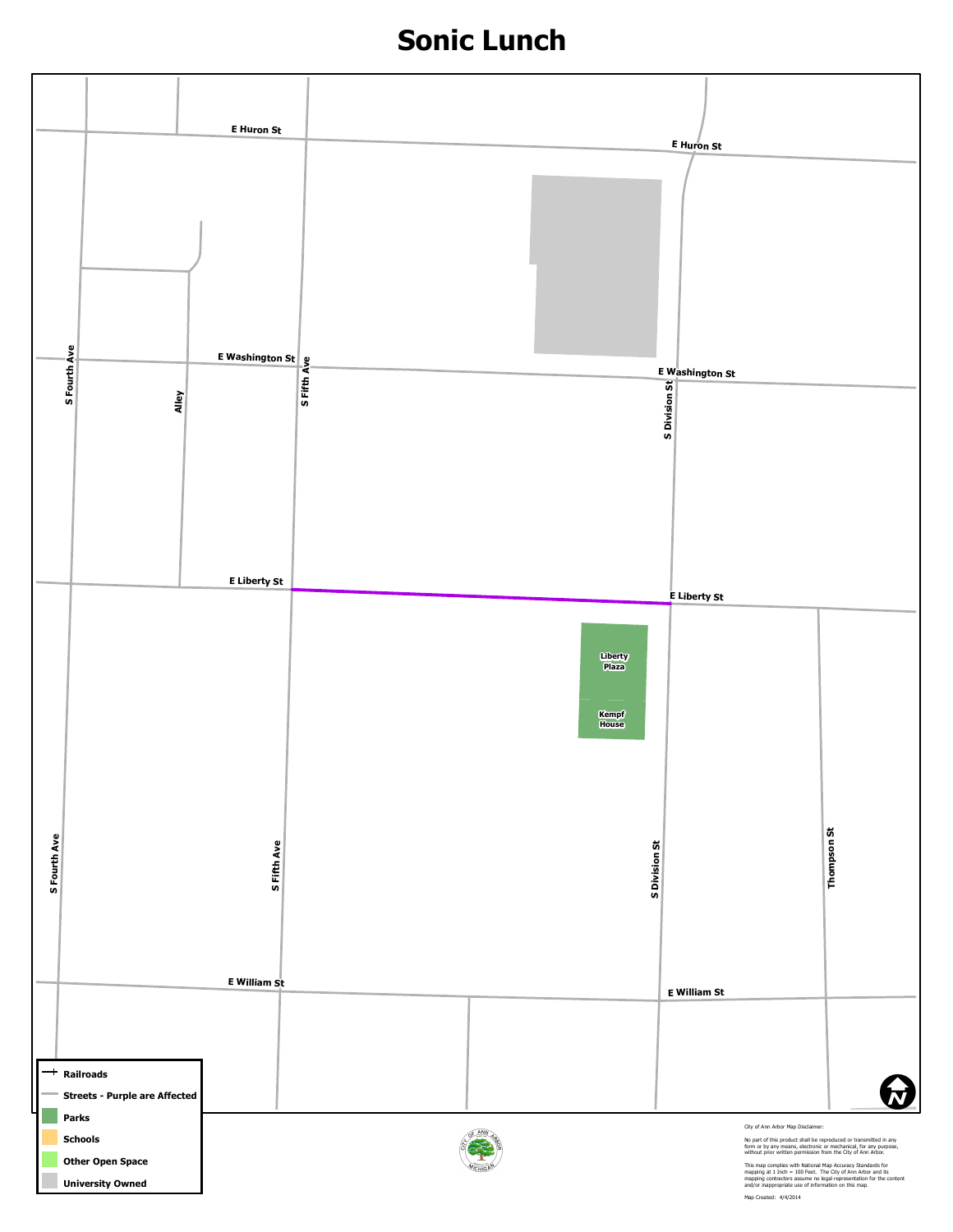# **Sonic Lunch**

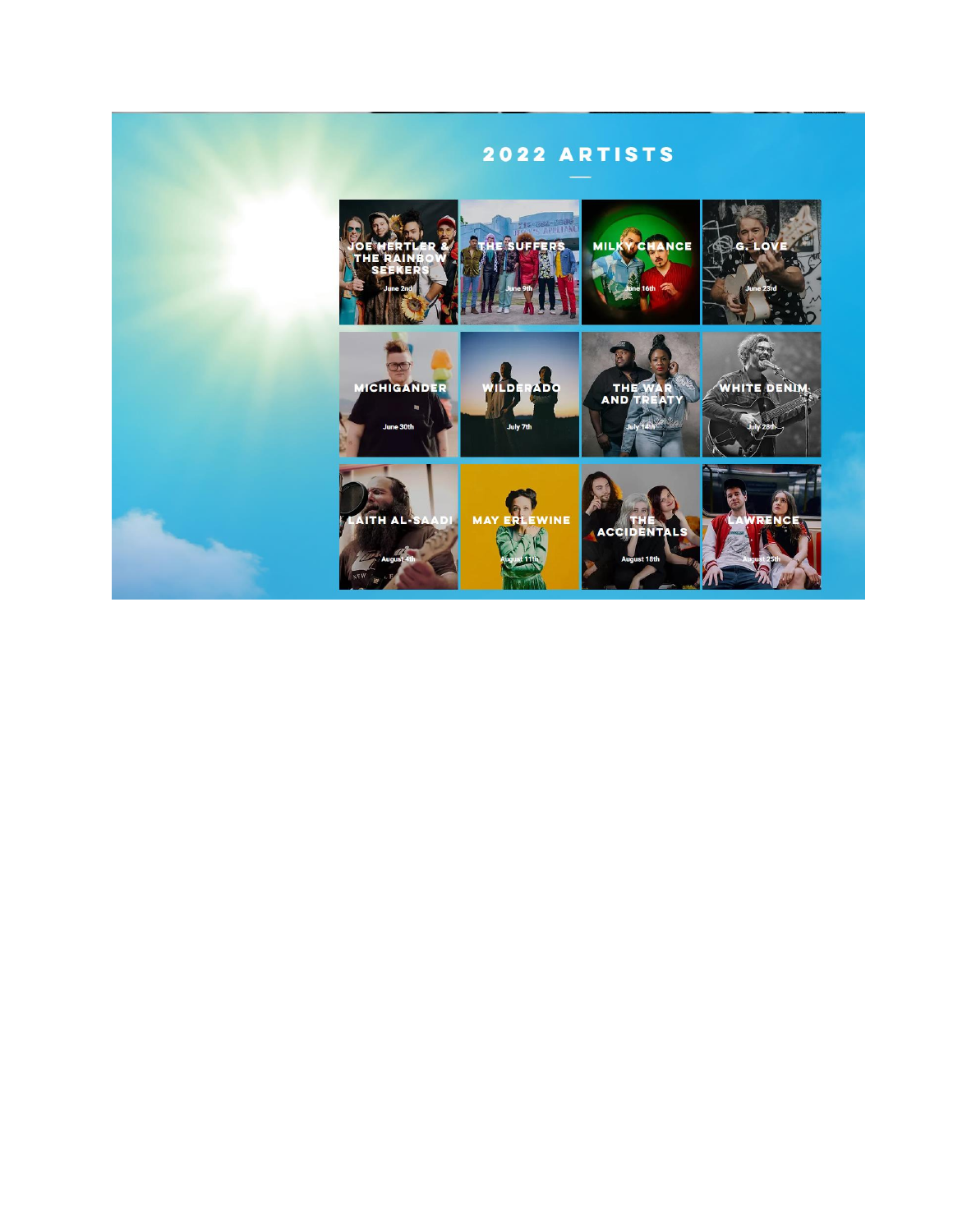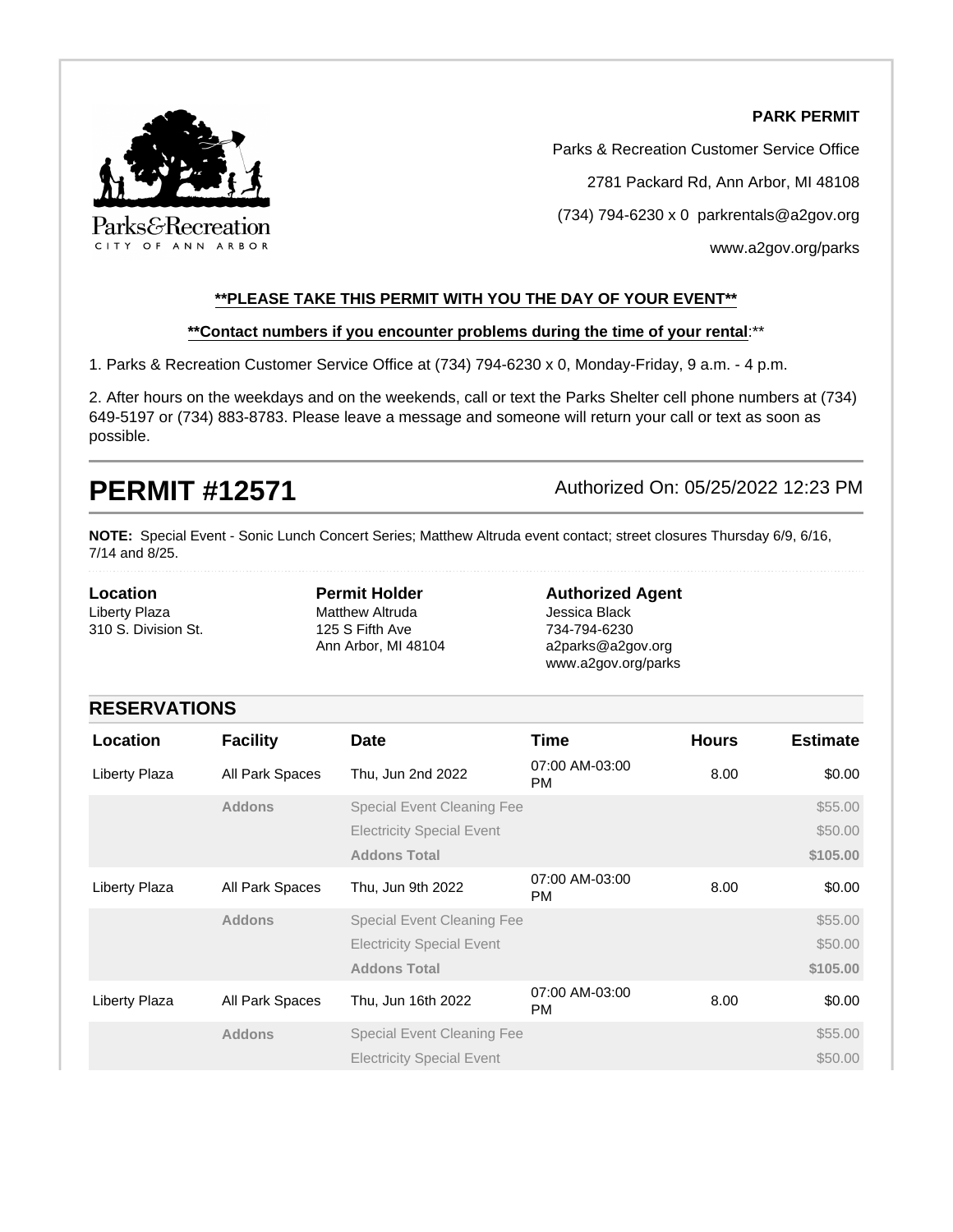#### **PARK PERMIT**



Parks & Recreation Customer Service Office

2781 Packard Rd, Ann Arbor, MI 48108

(734) 794-6230 x 0 parkrentals@a2gov.org

[www.a2gov.org/parks](http://www.a2gov.org/parks)

#### **\*\*PLEASE TAKE THIS PERMIT WITH YOU THE DAY OF YOUR EVENT\*\***

#### **\*\*Contact numbers if you encounter problems during the time of your rental**:\*\*

1. Parks & Recreation Customer Service Office at (734) 794-6230 x 0, Monday-Friday, 9 a.m. - 4 p.m.

2. After hours on the weekdays and on the weekends, call or text the Parks Shelter cell phone numbers at (734) 649-5197 or (734) 883-8783. Please leave a message and someone will return your call or text as soon as possible.

**PERMIT #12571** Authorized On: 05/25/2022 12:23 PM

**NOTE:** Special Event - Sonic Lunch Concert Series; Matthew Altruda event contact; street closures Thursday 6/9, 6/16, 7/14 and 8/25.

**Location** Liberty Plaza 310 S. Division St. **Permit Holder** Matthew Altruda 125 S Fifth Ave Ann Arbor, MI 48104

**Authorized Agent** Jessica Black 734-794-6230 a2parks@a2gov.org www.a2gov.org/parks

### **RESERVATIONS**

| Location      | <b>Facility</b> | <b>Date</b>                       | Time                 | <b>Hours</b> | <b>Estimate</b> |
|---------------|-----------------|-----------------------------------|----------------------|--------------|-----------------|
| Liberty Plaza | All Park Spaces | Thu, Jun 2nd 2022                 | 07:00 AM-03:00<br>PM | 8.00         | \$0.00          |
|               | <b>Addons</b>   | <b>Special Event Cleaning Fee</b> |                      |              | \$55.00         |
|               |                 | <b>Electricity Special Event</b>  |                      |              | \$50.00         |
|               |                 | <b>Addons Total</b>               |                      |              | \$105.00        |
| Liberty Plaza | All Park Spaces | Thu, Jun 9th 2022                 | 07:00 AM-03:00<br>PM | 8.00         | \$0.00          |
|               | <b>Addons</b>   | <b>Special Event Cleaning Fee</b> |                      |              | \$55.00         |
|               |                 | <b>Electricity Special Event</b>  |                      |              | \$50.00         |
|               |                 | <b>Addons Total</b>               |                      |              | \$105.00        |
| Liberty Plaza | All Park Spaces | Thu, Jun 16th 2022                | 07:00 AM-03:00<br>PM | 8.00         | \$0.00          |
|               | <b>Addons</b>   | <b>Special Event Cleaning Fee</b> |                      |              | \$55.00         |
|               |                 | <b>Electricity Special Event</b>  |                      |              | \$50.00         |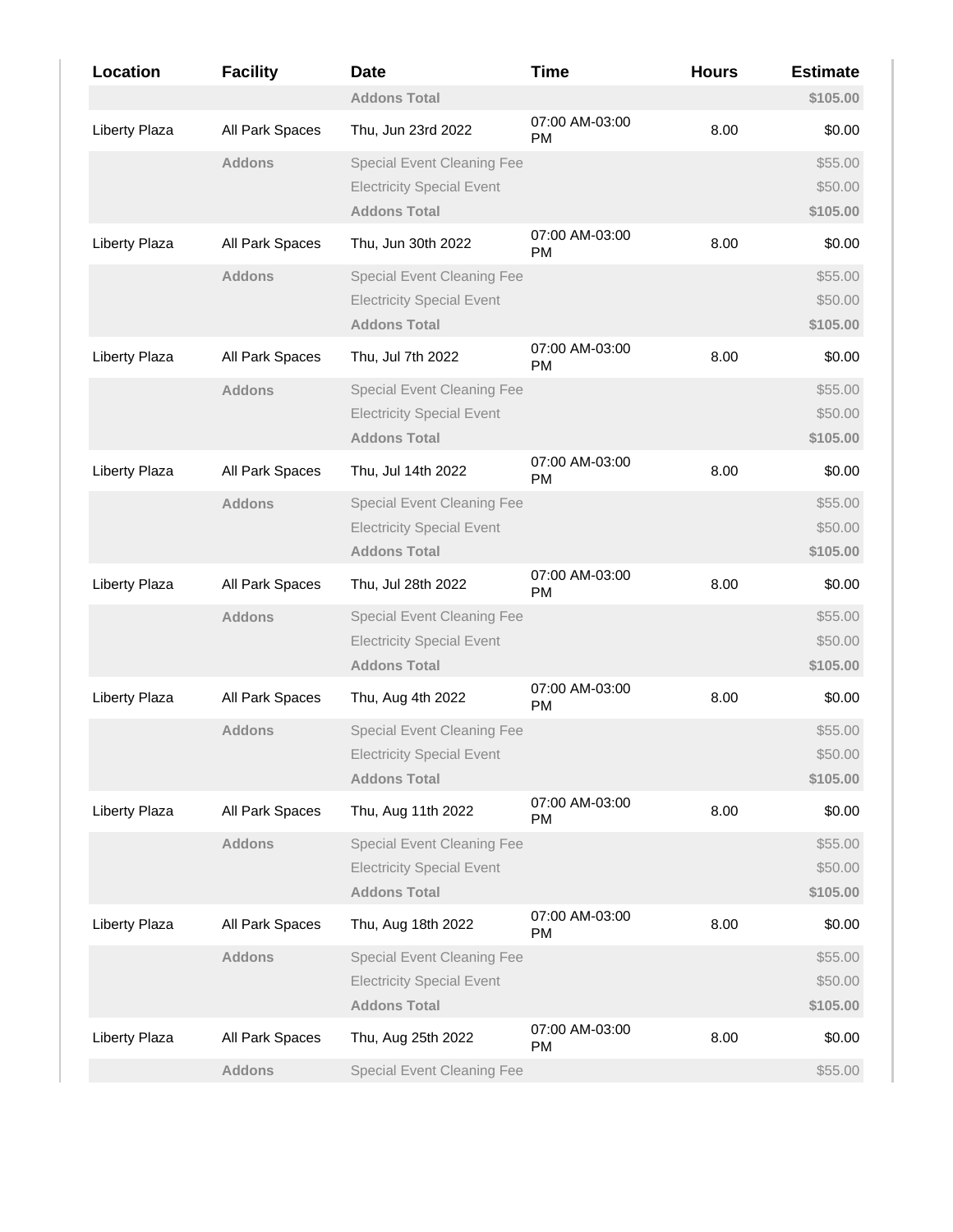| Location             | <b>Facility</b> | <b>Date</b>                       | <b>Time</b>                 | <b>Hours</b> | <b>Estimate</b> |
|----------------------|-----------------|-----------------------------------|-----------------------------|--------------|-----------------|
|                      |                 | <b>Addons Total</b>               |                             |              | \$105.00        |
| Liberty Plaza        | All Park Spaces | Thu, Jun 23rd 2022                | 07:00 AM-03:00<br><b>PM</b> | 8.00         | \$0.00          |
|                      | <b>Addons</b>   | <b>Special Event Cleaning Fee</b> |                             |              | \$55.00         |
|                      |                 | <b>Electricity Special Event</b>  |                             |              | \$50.00         |
|                      |                 | <b>Addons Total</b>               |                             |              | \$105.00        |
| Liberty Plaza        | All Park Spaces | Thu, Jun 30th 2022                | 07:00 AM-03:00<br><b>PM</b> | 8.00         | \$0.00          |
|                      | <b>Addons</b>   | <b>Special Event Cleaning Fee</b> |                             |              | \$55.00         |
|                      |                 | <b>Electricity Special Event</b>  |                             |              | \$50.00         |
|                      |                 | <b>Addons Total</b>               |                             |              | \$105.00        |
| Liberty Plaza        | All Park Spaces | Thu, Jul 7th 2022                 | 07:00 AM-03:00<br>PM        | 8.00         | \$0.00          |
|                      | <b>Addons</b>   | <b>Special Event Cleaning Fee</b> |                             |              | \$55.00         |
|                      |                 | <b>Electricity Special Event</b>  |                             |              | \$50.00         |
|                      |                 | <b>Addons Total</b>               |                             |              | \$105.00        |
| <b>Liberty Plaza</b> | All Park Spaces | Thu, Jul 14th 2022                | 07:00 AM-03:00<br><b>PM</b> | 8.00         | \$0.00          |
|                      | <b>Addons</b>   | <b>Special Event Cleaning Fee</b> |                             |              | \$55.00         |
|                      |                 | <b>Electricity Special Event</b>  |                             |              | \$50.00         |
|                      |                 | <b>Addons Total</b>               |                             |              | \$105.00        |
| Liberty Plaza        | All Park Spaces | Thu, Jul 28th 2022                | 07:00 AM-03:00<br><b>PM</b> | 8.00         | \$0.00          |
|                      | <b>Addons</b>   | <b>Special Event Cleaning Fee</b> |                             |              | \$55.00         |
|                      |                 | <b>Electricity Special Event</b>  |                             |              | \$50.00         |
|                      |                 | <b>Addons Total</b>               |                             |              | \$105.00        |
| Liberty Plaza        | All Park Spaces | Thu, Aug 4th 2022                 | 07:00 AM-03:00<br><b>PM</b> | 8.00         | \$0.00          |
|                      | <b>Addons</b>   | <b>Special Event Cleaning Fee</b> |                             |              | \$55.00         |
|                      |                 | <b>Electricity Special Event</b>  |                             |              | \$50.00         |
|                      |                 | <b>Addons Total</b>               |                             |              | \$105.00        |
| <b>Liberty Plaza</b> | All Park Spaces | Thu, Aug 11th 2022                | 07:00 AM-03:00<br><b>PM</b> | 8.00         | \$0.00          |
|                      | <b>Addons</b>   | <b>Special Event Cleaning Fee</b> |                             |              | \$55.00         |
|                      |                 | <b>Electricity Special Event</b>  |                             |              | \$50.00         |
|                      |                 | <b>Addons Total</b>               |                             |              | \$105.00        |
| Liberty Plaza        | All Park Spaces | Thu, Aug 18th 2022                | 07:00 AM-03:00<br><b>PM</b> | 8.00         | \$0.00          |
|                      | <b>Addons</b>   | <b>Special Event Cleaning Fee</b> |                             |              | \$55.00         |
|                      |                 | <b>Electricity Special Event</b>  |                             |              | \$50.00         |
|                      |                 | <b>Addons Total</b>               |                             |              | \$105.00        |
| Liberty Plaza        | All Park Spaces | Thu, Aug 25th 2022                | 07:00 AM-03:00<br><b>PM</b> | 8.00         | \$0.00          |
|                      | <b>Addons</b>   | <b>Special Event Cleaning Fee</b> |                             |              | \$55.00         |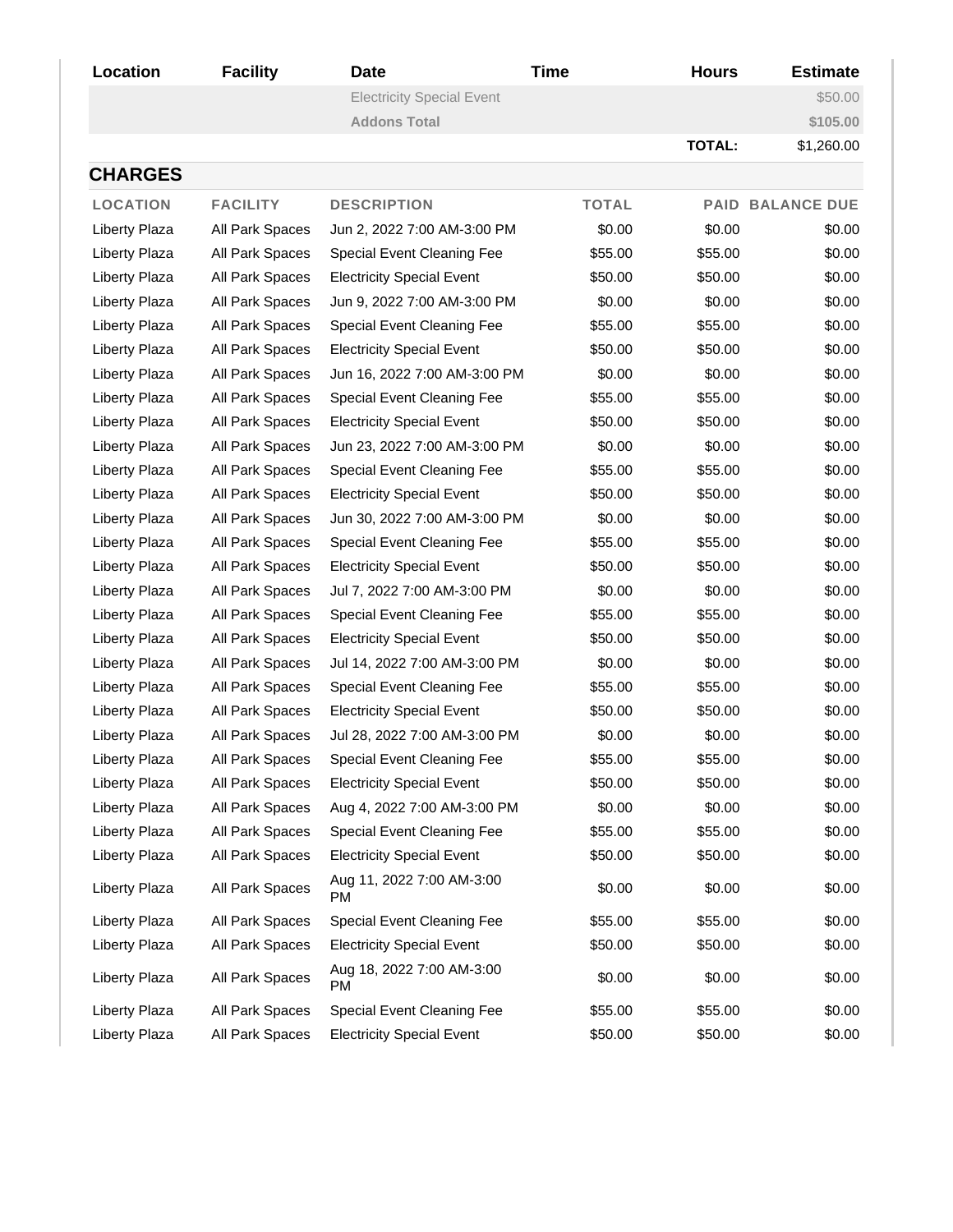| Location             | <b>Facility</b>        | <b>Date</b>                            | <b>Time</b>  | <b>Hours</b>  | <b>Estimate</b>         |
|----------------------|------------------------|----------------------------------------|--------------|---------------|-------------------------|
|                      |                        | <b>Electricity Special Event</b>       |              |               | \$50.00                 |
|                      |                        | <b>Addons Total</b>                    |              |               | \$105.00                |
|                      |                        |                                        |              | <b>TOTAL:</b> | \$1,260.00              |
| <b>CHARGES</b>       |                        |                                        |              |               |                         |
| <b>LOCATION</b>      | <b>FACILITY</b>        | <b>DESCRIPTION</b>                     | <b>TOTAL</b> |               | <b>PAID BALANCE DUE</b> |
| Liberty Plaza        | <b>All Park Spaces</b> | Jun 2, 2022 7:00 AM-3:00 PM            | \$0.00       | \$0.00        | \$0.00                  |
| Liberty Plaza        | All Park Spaces        | Special Event Cleaning Fee             | \$55.00      | \$55.00       | \$0.00                  |
| <b>Liberty Plaza</b> | All Park Spaces        | <b>Electricity Special Event</b>       | \$50.00      | \$50.00       | \$0.00                  |
| Liberty Plaza        | All Park Spaces        | Jun 9, 2022 7:00 AM-3:00 PM            | \$0.00       | \$0.00        | \$0.00                  |
| <b>Liberty Plaza</b> | All Park Spaces        | Special Event Cleaning Fee             | \$55.00      | \$55.00       | \$0.00                  |
| Liberty Plaza        | All Park Spaces        | <b>Electricity Special Event</b>       | \$50.00      | \$50.00       | \$0.00                  |
| Liberty Plaza        | All Park Spaces        | Jun 16, 2022 7:00 AM-3:00 PM           | \$0.00       | \$0.00        | \$0.00                  |
| <b>Liberty Plaza</b> | All Park Spaces        | Special Event Cleaning Fee             | \$55.00      | \$55.00       | \$0.00                  |
| Liberty Plaza        | All Park Spaces        | <b>Electricity Special Event</b>       | \$50.00      | \$50.00       | \$0.00                  |
| Liberty Plaza        | All Park Spaces        | Jun 23, 2022 7:00 AM-3:00 PM           | \$0.00       | \$0.00        | \$0.00                  |
| <b>Liberty Plaza</b> | All Park Spaces        | Special Event Cleaning Fee             | \$55.00      | \$55.00       | \$0.00                  |
| <b>Liberty Plaza</b> | All Park Spaces        | <b>Electricity Special Event</b>       | \$50.00      | \$50.00       | \$0.00                  |
| Liberty Plaza        | All Park Spaces        | Jun 30, 2022 7:00 AM-3:00 PM           | \$0.00       | \$0.00        | \$0.00                  |
| Liberty Plaza        | All Park Spaces        | Special Event Cleaning Fee             | \$55.00      | \$55.00       | \$0.00                  |
| <b>Liberty Plaza</b> | All Park Spaces        | <b>Electricity Special Event</b>       | \$50.00      | \$50.00       | \$0.00                  |
| Liberty Plaza        | All Park Spaces        | Jul 7, 2022 7:00 AM-3:00 PM            | \$0.00       | \$0.00        | \$0.00                  |
| Liberty Plaza        | All Park Spaces        | Special Event Cleaning Fee             | \$55.00      | \$55.00       | \$0.00                  |
| <b>Liberty Plaza</b> | All Park Spaces        | <b>Electricity Special Event</b>       | \$50.00      | \$50.00       | \$0.00                  |
| <b>Liberty Plaza</b> | All Park Spaces        | Jul 14, 2022 7:00 AM-3:00 PM           | \$0.00       | \$0.00        | \$0.00                  |
| Liberty Plaza        | All Park Spaces        | Special Event Cleaning Fee             | \$55.00      | \$55.00       | \$0.00                  |
| Liberty Plaza        | All Park Spaces        | <b>Electricity Special Event</b>       | \$50.00      | \$50.00       | \$0.00                  |
| Liberty Plaza        | All Park Spaces        | Jul 28, 2022 7:00 AM-3:00 PM           | \$0.00       | \$0.00        | \$0.00                  |
| Liberty Plaza        | All Park Spaces        | Special Event Cleaning Fee             | \$55.00      | \$55.00       | \$0.00                  |
| Liberty Plaza        | All Park Spaces        | <b>Electricity Special Event</b>       | \$50.00      | \$50.00       | \$0.00                  |
| Liberty Plaza        | All Park Spaces        | Aug 4, 2022 7:00 AM-3:00 PM            | \$0.00       | \$0.00        | \$0.00                  |
| Liberty Plaza        | All Park Spaces        | Special Event Cleaning Fee             | \$55.00      | \$55.00       | \$0.00                  |
| Liberty Plaza        | All Park Spaces        | <b>Electricity Special Event</b>       | \$50.00      | \$50.00       | \$0.00                  |
| Liberty Plaza        | All Park Spaces        | Aug 11, 2022 7:00 AM-3:00<br><b>PM</b> | \$0.00       | \$0.00        | \$0.00                  |
| Liberty Plaza        | All Park Spaces        | Special Event Cleaning Fee             | \$55.00      | \$55.00       | \$0.00                  |
| Liberty Plaza        | All Park Spaces        | <b>Electricity Special Event</b>       | \$50.00      | \$50.00       | \$0.00                  |
| Liberty Plaza        | All Park Spaces        | Aug 18, 2022 7:00 AM-3:00<br>PM        | \$0.00       | \$0.00        | \$0.00                  |
| Liberty Plaza        | All Park Spaces        | Special Event Cleaning Fee             | \$55.00      | \$55.00       | \$0.00                  |
| Liberty Plaza        | All Park Spaces        | <b>Electricity Special Event</b>       | \$50.00      | \$50.00       | \$0.00                  |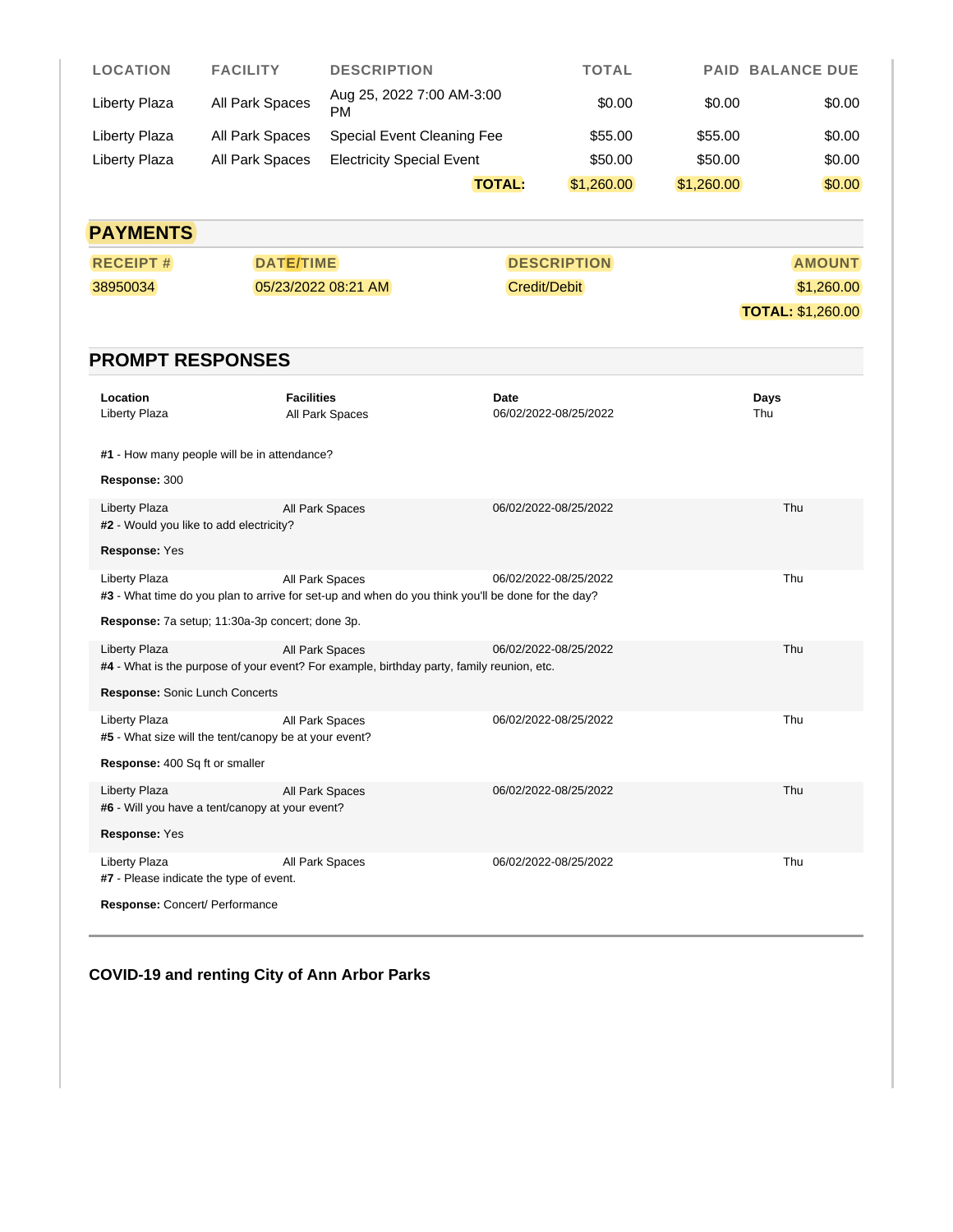| <b>LOCATION</b> | <b>FACILITY</b> | <b>DESCRIPTION</b>               | <b>TOTAL</b> |            | <b>PAID BALANCE DUE</b> |
|-----------------|-----------------|----------------------------------|--------------|------------|-------------------------|
| Liberty Plaza   | All Park Spaces | Aug 25, 2022 7:00 AM-3:00<br>PM  | \$0.00       | \$0.00     | \$0.00                  |
| Liberty Plaza   | All Park Spaces | Special Event Cleaning Fee       | \$55.00      | \$55.00    | \$0.00                  |
| Liberty Plaza   | All Park Spaces | <b>Electricity Special Event</b> | \$50.00      | \$50.00    | \$0.00                  |
|                 |                 | <b>TOTAL:</b>                    | \$1,260.00   | \$1,260.00 | \$0.00                  |

| <b>PAYMENTS</b> |                     |                    |                          |  |  |  |
|-----------------|---------------------|--------------------|--------------------------|--|--|--|
| <b>RECEIPT#</b> | <b>DATE/TIME</b>    | <b>DESCRIPTION</b> | <b>AMOUNT</b>            |  |  |  |
| 38950034        | 05/23/2022 08:21 AM | Credit/Debit       | \$1,260.00               |  |  |  |
|                 |                     |                    | <b>TOTAL: \$1,260.00</b> |  |  |  |

## **PROMPT RESPONSES**

| Location<br>Liberty Plaza                                               | <b>Facilities</b><br>All Park Spaces                                                                                 | Date<br>06/02/2022-08/25/2022 | Days<br>Thu |  |  |  |  |
|-------------------------------------------------------------------------|----------------------------------------------------------------------------------------------------------------------|-------------------------------|-------------|--|--|--|--|
| #1 - How many people will be in attendance?                             |                                                                                                                      |                               |             |  |  |  |  |
| Response: 300                                                           |                                                                                                                      |                               |             |  |  |  |  |
| <b>Liberty Plaza</b><br>#2 - Would you like to add electricity?         | All Park Spaces                                                                                                      | 06/02/2022-08/25/2022         | Thu         |  |  |  |  |
| Response: Yes                                                           |                                                                                                                      |                               |             |  |  |  |  |
| Liberty Plaza                                                           | All Park Spaces<br>#3 - What time do you plan to arrive for set-up and when do you think you'll be done for the day? | 06/02/2022-08/25/2022         | Thu         |  |  |  |  |
| Response: 7a setup; 11:30a-3p concert; done 3p.                         |                                                                                                                      |                               |             |  |  |  |  |
| <b>Liberty Plaza</b>                                                    | All Park Spaces<br>#4 - What is the purpose of your event? For example, birthday party, family reunion, etc.         | 06/02/2022-08/25/2022         | Thu         |  |  |  |  |
| Response: Sonic Lunch Concerts                                          |                                                                                                                      |                               |             |  |  |  |  |
| Liberty Plaza<br>#5 - What size will the tent/canopy be at your event?  | All Park Spaces                                                                                                      | 06/02/2022-08/25/2022         | Thu         |  |  |  |  |
| Response: 400 Sq ft or smaller                                          |                                                                                                                      |                               |             |  |  |  |  |
| <b>Liberty Plaza</b><br>#6 - Will you have a tent/canopy at your event? | All Park Spaces                                                                                                      | 06/02/2022-08/25/2022         | Thu         |  |  |  |  |
| Response: Yes                                                           |                                                                                                                      |                               |             |  |  |  |  |
| Liberty Plaza<br>#7 - Please indicate the type of event.                | All Park Spaces                                                                                                      | 06/02/2022-08/25/2022         | Thu         |  |  |  |  |
| Response: Concert/ Performance                                          |                                                                                                                      |                               |             |  |  |  |  |

# **COVID-19 and renting City of Ann Arbor Parks**